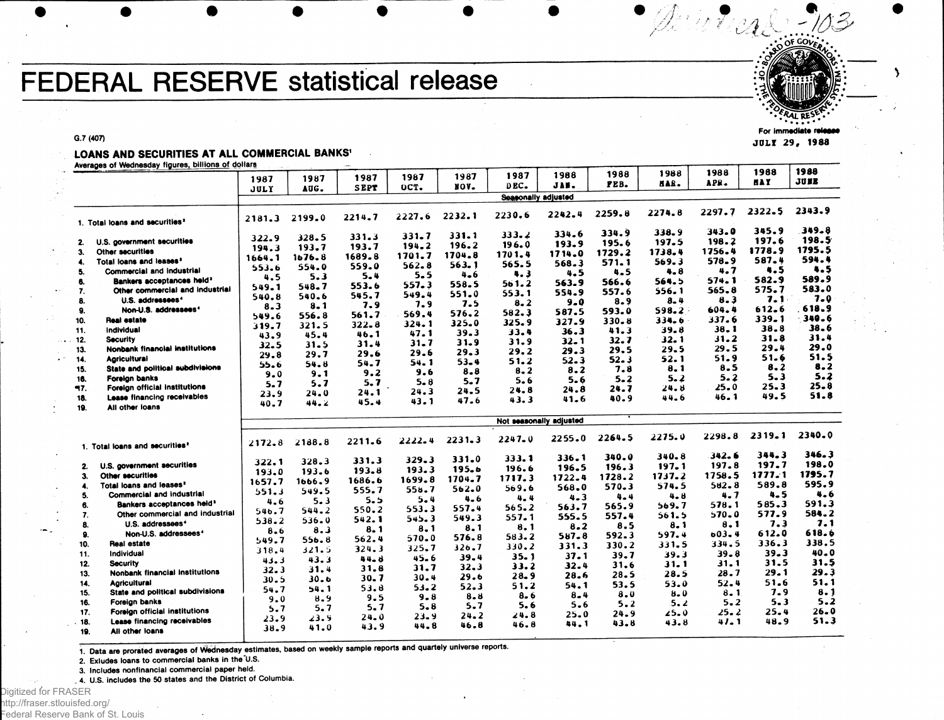# **FEDERAL RESERVE statistical release**

G.7 (407)

### LOANS AND SECURITIES AT ALL COMMERCIAL BANKS'

Averages of Wednesday figures, billions of dollars

|     |                                            |                         | 1987      | 1987        | 1987      | 1987       | 1987                | 1988     | 1988    | 1988    | 1988       | 1988       | 1988         |
|-----|--------------------------------------------|-------------------------|-----------|-------------|-----------|------------|---------------------|----------|---------|---------|------------|------------|--------------|
|     |                                            | 1987                    |           | <b>SEPT</b> | OCT.      | NOV.       | DEC.                | JAN.     | FEB.    | HAR.    | APR.       | <b>HAY</b> | <b>JUNE</b>  |
|     |                                            | JULY                    | AUG.      |             |           |            | Seasonally adjusted |          |         |         |            |            |              |
|     |                                            |                         |           |             |           |            |                     |          |         |         |            | 2322.5     | 2343.9       |
|     |                                            | 2181.3                  | 2199.0    | 2214.7      | 2227.6    | 2232.1     | 2230.6              | 2242.4   | 2259.8  | 2274.8  | 2297.7     |            |              |
|     | 1. Total loans and securities <sup>2</sup> |                         |           |             |           |            |                     |          |         |         |            | 345.9      | 349.8        |
|     |                                            | 322.9                   | $328 - 5$ | 331.3       | 331.7     | $331 - 1$  | 333.2               | 334.6    | 334.9   | 338.9   | 343.0      |            | 198.5        |
| 2.  | U.S. government securities                 | 194.3                   | 193.7     | 193.7       | 194.2     | 196.2      | 196.0               | 193.9    | 195.6   | 197.5   | 198.2      | 197.6      | 1795.5       |
| 3.  | Other securities                           | 1664.1                  | 1676.8    | 1689.8      | 1701.7    | 1704.8     | 1701.4              | 1714.0   | 1729.2  | 1738.4  | 1756.4     | 1778.9     | 594.4        |
| 4.  | Total loans and leases <sup>2</sup>        | 553.6                   | 554.0     | 559.0       | $562 - 8$ | 563.1      | 565.5               | 568.3    | 571.1   | 569.3   | 578.9      | 587.4      |              |
| 5.  | <b>Commercial and industrial</b>           | 4.5                     | 5.3       | 5.4         | $5 - 5$   | $4 - 6$    | 4.3                 | 4.5      | 4.5     | 4.8     | 4.7        | 4.5        | 4.5<br>589.9 |
| 6.  | Bankers acceptances held <sup>3</sup>      | 549.1                   | 548.7     | 553.6       | 557.3     | 558.5      | 561.2               | 563.9    | 566.6   | 564.5   | 574.1      | 582.9      |              |
| 7.  | Other commercial and industrial            | 540.8                   | 540.6     | 545.7       | 549.4     | 551.0      | 553.1               | 554.9    | 557.6   | 556.1   | 565.8      | 575.7      | 583.0        |
| 8.  | U.S. addressees <sup>4</sup>               | 8.3                     | $8 - 1$   | 7.9         | 7.9       | 7.5        | $8 - 2$             | 9.0      | 8.9     | $8 - 4$ | 8.3        | 7.1        | $7 - 0$      |
| 9.  | Non-U.S. addressees <sup>4</sup>           | 549.6                   | 556.8     | 561.7       | 569.4     | 576.2      | 582.3               | 587.5    | 593.0   | 598.2   | 604.4      | 612.6      | 618.9        |
| 10. | Real estate                                | 319.7                   | 321.5     | 322.8       | $324 - 1$ | 325.0      | 325.9               | 327.9    | 330.8   | 334.6   | 337.6      | 339.1      | 340.6        |
| 11. | Individual                                 |                         | 45.4      | 46.1        | 47.1      | 39.3       | 33.4                | 36.3     | 41.3    | 39.8    | $38 - 1$   | 38.8       | 38.6         |
| 12. | <b>Security</b>                            | 43.9                    | 31.5      | 31.4        | $31 - 7$  | 31.9       | 31.9                | $32 - 1$ | 32.7    | 32.1    | 31.2       | 31.8       | 31.4         |
| 13. | <b>Nonbank financial institutions</b>      | 32.5                    |           | 29.6        | 29.6      | 29.3       | 29.2                | 29.3     | 29.5    | 29.5    | 29.5       | 29.4       | 29.0         |
| 14. | <b>Agricultural</b>                        | 29.8                    | 29.7      | 54.7        | 54.1      | $53 - 4$   | 51.2                | 52.3     | 52.3    | 52. 1   | 51.9       | 51.6       | 51.5         |
| 15. | State and political subdivisions           | 55.6                    | 54.8      | 9.2         | 9.6       | 8.8        | $8 - 2$             | 8.2      | 7.8     | 8.1     | 8.5        | 8.2        | 8.2          |
| 16. | Forelan banks                              | 9.0                     | 9.1       |             | $5 - 8$   | $5 - 7$    | $5 - 6$             | 5.6      | $5 - 2$ | 5.2     | 5.2        | 5.3        | 5.2          |
| 97. | Foreign official institutions              | 5.7                     | 5.7       | 5.7         | 24.3      | 24.5       | 24.8                | 24.8     | 24.7    | 24.8    | 25.0       | 25.3       | 25.8         |
| 18. | Lease financing receivables                | 23.9                    | 24.0      | 24.1        | 43.1      | 47.6       | 43.3                | 41.6     | 40.9    | 44.6    | 46.1       | 49.5       | 51.8         |
| 19. | All other loans                            | 40.7                    | 44.Z      | 45.4        |           |            |                     |          |         |         |            |            |              |
|     |                                            | Not seasonally adjusted |           |             |           |            |                     |          |         |         |            |            |              |
|     |                                            |                         |           |             |           |            |                     |          |         |         |            |            |              |
|     |                                            | 2172.8                  | 2188.8    | 2211.6      | 2222.4    | $2231 - 3$ | $2247 - 0$          | 2255.0   | 2264.5  | 2275.0  | 2298.8     | 2319.1     | 2340.0       |
|     | 1. Total loans and securities <sup>2</sup> |                         |           |             |           |            |                     |          |         |         |            |            |              |
|     |                                            | 322.1                   | 328.3     | 331.3       | 329.3     | 331.0      | 333.1               | 336.1    | 340.0   | 340.8   | 342.6      | 344.3      | 346.3        |
| 2.  | U.S. government securities                 | 193.0                   | 193.6     | 193.8       | 193.3     | 195.6      | 196.6               | 196.5    | 196.3   | 197.1   | 197.8      | 197.7      | 198.0        |
| 3.  | Other securities                           |                         |           | 1686.6      | 1699.8    | 1704.7     | 1717.3              | 1722.4   | 1728.2  | 1737.2  | 1758.5     | 1777.1     | 1795.7       |
| 4.  | Total loans and leases?                    | 1657.7                  | 1666.9    | 555.7       | 558.7     | 562.0      | 569.6               | 568.0    | 570.3   | 574.5   | $582 - 8$  | 589.8      | 595.9        |
| 5.  | Commercial and industrial                  | 551.3                   | 549.5     | 5.5         | 5.4       | 4.6        | 4.4                 | $4 - 3$  | 4.4     | $4 - 8$ | 4.7        | 4.5        | 4.6          |
| 6.  | Bankers acceptances held <sup>3</sup>      | 4.6                     | $5 - 3$   |             | 553.3     | 557.4      | 565.2               | 563.7    | 565.9   | 569.7   | 578.1      | 585.3      | 591.3        |
| 7.  | Other commercial and industrial            | 546.7                   | 544.2     | 550.2       | 545.3     | 549.3      | 557.1               | 555.5    | 557.4   | 561.5   | 570.0      | 577.9      | 584.2        |
| 8.  | U.S. addressees <sup>4</sup>               | 538.2                   | 536.0     | 542.1       |           | 8.1        | 8.1                 | 8.2      | 8.5     | 8.1     | 8.1        | 7.3        | 7.1          |
| 9.  | Non-U.S. addressees <sup>4</sup>           | 8.6                     | 8.3       | 8.1         | 8.1       | 576.8      | 583.2               | 587.8    | 592.3   | 597.4   | $0.03 - 4$ | 612.0      | 618.6        |
| 10. | Real estate                                | 549.7                   | 556.8     | 562.4       | 570.0     |            | 330.2               | 331.3    | 330.2   | 331.5   | 334.5      | 336.3      | 338.5        |
| 11. | Individual                                 | 318.4                   | 321.5     | 324.3       | 325.7     | 326.7      |                     | 37.1     | 39.7    | 39.3    | 39.8       | $39 - 3$   | 40.0         |
| 12. | <b>Security</b>                            | 43.3                    | 43.3      | 44.8        | 45.6      | 39.4       | 35.1                | 32.4     | 31.6    | 31.1    | 31.1       | 31.5       | 31.5         |
| 13. | <b>Nonbank financial institutions</b>      | 32.3                    | 31.4      | 31.8        | 31.7      | 32.3       | 33.2                |          | 28.5    | 28.5    | 28.7       | 29.1       | 29.3         |
| 14. | <b>Agricultural</b>                        | 30.5                    | 30.6      | 30.7        | 30.4      | 29.6       | 28.9                | 28.6     | 53.5    | 53.0    | 52.4       | 51.6       | 51.1         |
| 15. | State and political subdivisions           | 54.7                    | 54.1      | 53.8        | 53.2      | 52.3       | 51.2                | 54.1     |         | 8.0     | $8 - 1$    | 7.9        | 8.1          |
| 16. | Foreign banks                              | 9.0                     | 8.9       | 9.5         | 9.8       | $8 - 8$    | 8.6                 | $8 - 4$  | 8.0     | 5.2     | $5 - 2$    | $5 - 3$    | 5.2          |
| 17. | Foreign official institutions              | 5.7                     | 5.7       | 5.7         | 5.8       | 5.7        | 5.6                 | 5.6      | 5.2     | 25.0    | 25.2       | 25.4       | $26 - 0$     |
| 18. | Lease financing receivables                | 23.9                    | 23.9      | 24.0        | 23.9      | 24.2       | 24.8                | 25.0     | 24.9    | 43.8    | 41. 1      | 48.9       | 51.3         |
| 19. | All other loans                            | 38.9                    | 41.0      | 43.9        | 44.8      | 46.8       | 46.8                | 44.1     | 43.8    |         |            |            |              |
|     |                                            |                         |           |             |           |            |                     |          |         |         |            |            |              |

**/** 

**.** *\*1 o\*£Oy<sup>s</sup> .*

For Immediate JULY 29, 1988

1. Data are prorated averages of Wednesday estimates, based on weekly sample reports and quartely universe reports.

2. Exludes loans to commercial banks in the "U.S.

3. Includes nonfinancial commercial paper held.

. 4. U.S. includes the 50 states and the District of Columbia.

Digitized for FRASER http://fraser.stlouisfed.org/ Federal Reserve Bank of St. Louis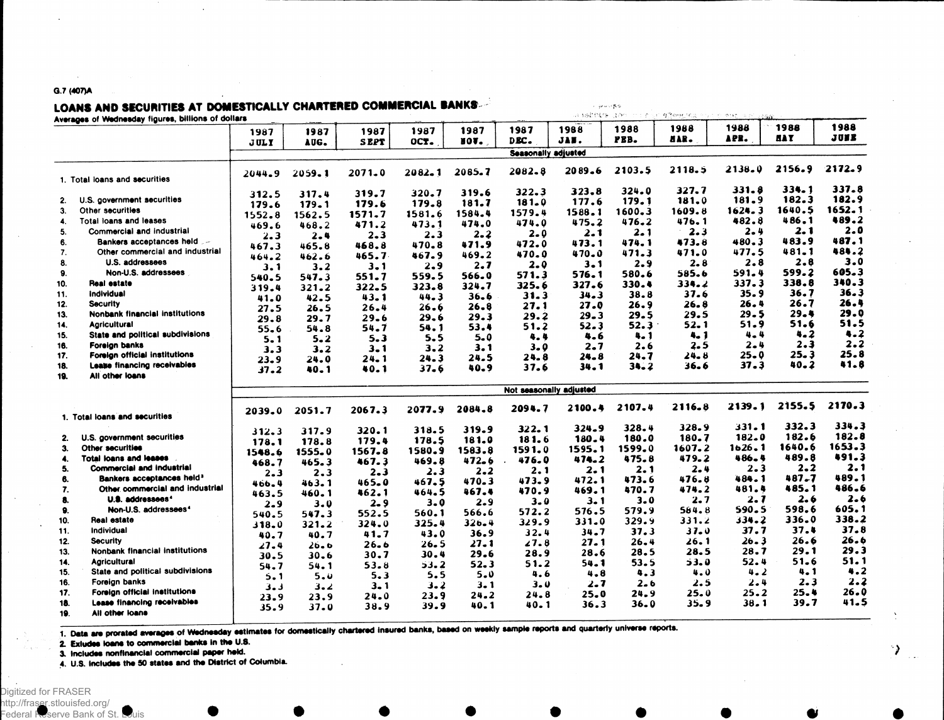#### G.7 (407)A

# LOANS AND SECURITIES AT DOMESTICALLY CHARTERED COMMERCIAL BANKS

|                                 | 计自动数据程序 的复数形式<br>一切工资化的 壁覆脚状的现在分词 为 医线形 不对的法接触                                                                                                                                                                                                                                                                                                                                                                                                                                                                                                                                                                                                                                                                                                                                 |                                                                                                                                                                                                                                                                                                             |                                                                                                                                                                                                                                                             |                                                                                                                                                                                                                                                                              |                                                                                                                                                                                                                       |                                                                                                                                                                                                                                                                                                                     |                                                                                                                                                                                                                                                                      |                                                                                                                                                                                                                                                                                                     |                                                                                                                                                                                                                                                                                 |                                                                                                                                                                                                                                                              |                                                                                                                                                                                                                                                  |                                                                                                                                                                                                                               |
|---------------------------------|--------------------------------------------------------------------------------------------------------------------------------------------------------------------------------------------------------------------------------------------------------------------------------------------------------------------------------------------------------------------------------------------------------------------------------------------------------------------------------------------------------------------------------------------------------------------------------------------------------------------------------------------------------------------------------------------------------------------------------------------------------------------------------|-------------------------------------------------------------------------------------------------------------------------------------------------------------------------------------------------------------------------------------------------------------------------------------------------------------|-------------------------------------------------------------------------------------------------------------------------------------------------------------------------------------------------------------------------------------------------------------|------------------------------------------------------------------------------------------------------------------------------------------------------------------------------------------------------------------------------------------------------------------------------|-----------------------------------------------------------------------------------------------------------------------------------------------------------------------------------------------------------------------|---------------------------------------------------------------------------------------------------------------------------------------------------------------------------------------------------------------------------------------------------------------------------------------------------------------------|----------------------------------------------------------------------------------------------------------------------------------------------------------------------------------------------------------------------------------------------------------------------|-----------------------------------------------------------------------------------------------------------------------------------------------------------------------------------------------------------------------------------------------------------------------------------------------------|---------------------------------------------------------------------------------------------------------------------------------------------------------------------------------------------------------------------------------------------------------------------------------|--------------------------------------------------------------------------------------------------------------------------------------------------------------------------------------------------------------------------------------------------------------|--------------------------------------------------------------------------------------------------------------------------------------------------------------------------------------------------------------------------------------------------|-------------------------------------------------------------------------------------------------------------------------------------------------------------------------------------------------------------------------------|
|                                 | 1987                                                                                                                                                                                                                                                                                                                                                                                                                                                                                                                                                                                                                                                                                                                                                                           | 1987                                                                                                                                                                                                                                                                                                        | 1987                                                                                                                                                                                                                                                        | 1987                                                                                                                                                                                                                                                                         | 1987                                                                                                                                                                                                                  | 1987                                                                                                                                                                                                                                                                                                                | 1988                                                                                                                                                                                                                                                                 | 1988                                                                                                                                                                                                                                                                                                | 1988<br>aar.                                                                                                                                                                                                                                                                    | 1988<br>155.                                                                                                                                                                                                                                                 | 1988<br><b>BAY</b>                                                                                                                                                                                                                               | 1988<br>JUNE                                                                                                                                                                                                                  |
|                                 |                                                                                                                                                                                                                                                                                                                                                                                                                                                                                                                                                                                                                                                                                                                                                                                |                                                                                                                                                                                                                                                                                                             |                                                                                                                                                                                                                                                             |                                                                                                                                                                                                                                                                              |                                                                                                                                                                                                                       |                                                                                                                                                                                                                                                                                                                     |                                                                                                                                                                                                                                                                      |                                                                                                                                                                                                                                                                                                     |                                                                                                                                                                                                                                                                                 |                                                                                                                                                                                                                                                              |                                                                                                                                                                                                                                                  |                                                                                                                                                                                                                               |
|                                 |                                                                                                                                                                                                                                                                                                                                                                                                                                                                                                                                                                                                                                                                                                                                                                                |                                                                                                                                                                                                                                                                                                             |                                                                                                                                                                                                                                                             |                                                                                                                                                                                                                                                                              |                                                                                                                                                                                                                       |                                                                                                                                                                                                                                                                                                                     |                                                                                                                                                                                                                                                                      |                                                                                                                                                                                                                                                                                                     |                                                                                                                                                                                                                                                                                 |                                                                                                                                                                                                                                                              |                                                                                                                                                                                                                                                  | 2172.9                                                                                                                                                                                                                        |
|                                 |                                                                                                                                                                                                                                                                                                                                                                                                                                                                                                                                                                                                                                                                                                                                                                                |                                                                                                                                                                                                                                                                                                             |                                                                                                                                                                                                                                                             |                                                                                                                                                                                                                                                                              |                                                                                                                                                                                                                       |                                                                                                                                                                                                                                                                                                                     |                                                                                                                                                                                                                                                                      |                                                                                                                                                                                                                                                                                                     |                                                                                                                                                                                                                                                                                 |                                                                                                                                                                                                                                                              |                                                                                                                                                                                                                                                  |                                                                                                                                                                                                                               |
|                                 | 312.5                                                                                                                                                                                                                                                                                                                                                                                                                                                                                                                                                                                                                                                                                                                                                                          | 317.4                                                                                                                                                                                                                                                                                                       | 319.7                                                                                                                                                                                                                                                       | 320.7                                                                                                                                                                                                                                                                        | 319.6                                                                                                                                                                                                                 | 322.3                                                                                                                                                                                                                                                                                                               | 323.8                                                                                                                                                                                                                                                                | 324.0                                                                                                                                                                                                                                                                                               |                                                                                                                                                                                                                                                                                 | 331.8                                                                                                                                                                                                                                                        |                                                                                                                                                                                                                                                  | 337.8                                                                                                                                                                                                                         |
|                                 | 179.6                                                                                                                                                                                                                                                                                                                                                                                                                                                                                                                                                                                                                                                                                                                                                                          | 179.1                                                                                                                                                                                                                                                                                                       | 179.6                                                                                                                                                                                                                                                       | 179.8                                                                                                                                                                                                                                                                        | 181.7                                                                                                                                                                                                                 | 181.0                                                                                                                                                                                                                                                                                                               |                                                                                                                                                                                                                                                                      |                                                                                                                                                                                                                                                                                                     |                                                                                                                                                                                                                                                                                 |                                                                                                                                                                                                                                                              |                                                                                                                                                                                                                                                  | 182.9                                                                                                                                                                                                                         |
|                                 |                                                                                                                                                                                                                                                                                                                                                                                                                                                                                                                                                                                                                                                                                                                                                                                |                                                                                                                                                                                                                                                                                                             | 1571.7                                                                                                                                                                                                                                                      | 1581.6                                                                                                                                                                                                                                                                       | 1584.4                                                                                                                                                                                                                |                                                                                                                                                                                                                                                                                                                     |                                                                                                                                                                                                                                                                      |                                                                                                                                                                                                                                                                                                     |                                                                                                                                                                                                                                                                                 |                                                                                                                                                                                                                                                              |                                                                                                                                                                                                                                                  | 1652.1                                                                                                                                                                                                                        |
|                                 |                                                                                                                                                                                                                                                                                                                                                                                                                                                                                                                                                                                                                                                                                                                                                                                |                                                                                                                                                                                                                                                                                                             |                                                                                                                                                                                                                                                             | 473.1                                                                                                                                                                                                                                                                        | 474.0                                                                                                                                                                                                                 | 474.0                                                                                                                                                                                                                                                                                                               |                                                                                                                                                                                                                                                                      |                                                                                                                                                                                                                                                                                                     |                                                                                                                                                                                                                                                                                 |                                                                                                                                                                                                                                                              |                                                                                                                                                                                                                                                  | 489.2                                                                                                                                                                                                                         |
|                                 |                                                                                                                                                                                                                                                                                                                                                                                                                                                                                                                                                                                                                                                                                                                                                                                |                                                                                                                                                                                                                                                                                                             |                                                                                                                                                                                                                                                             |                                                                                                                                                                                                                                                                              | 2.2                                                                                                                                                                                                                   | 2.0                                                                                                                                                                                                                                                                                                                 | 2.1                                                                                                                                                                                                                                                                  | 2. 1                                                                                                                                                                                                                                                                                                |                                                                                                                                                                                                                                                                                 |                                                                                                                                                                                                                                                              |                                                                                                                                                                                                                                                  | 2.0                                                                                                                                                                                                                           |
|                                 |                                                                                                                                                                                                                                                                                                                                                                                                                                                                                                                                                                                                                                                                                                                                                                                |                                                                                                                                                                                                                                                                                                             |                                                                                                                                                                                                                                                             |                                                                                                                                                                                                                                                                              |                                                                                                                                                                                                                       |                                                                                                                                                                                                                                                                                                                     | 473.1                                                                                                                                                                                                                                                                | 474.1                                                                                                                                                                                                                                                                                               |                                                                                                                                                                                                                                                                                 |                                                                                                                                                                                                                                                              |                                                                                                                                                                                                                                                  | 487.1                                                                                                                                                                                                                         |
| Other commercial and industrial |                                                                                                                                                                                                                                                                                                                                                                                                                                                                                                                                                                                                                                                                                                                                                                                |                                                                                                                                                                                                                                                                                                             |                                                                                                                                                                                                                                                             |                                                                                                                                                                                                                                                                              |                                                                                                                                                                                                                       |                                                                                                                                                                                                                                                                                                                     |                                                                                                                                                                                                                                                                      | 471.3                                                                                                                                                                                                                                                                                               |                                                                                                                                                                                                                                                                                 | 477.5                                                                                                                                                                                                                                                        | 481.1                                                                                                                                                                                                                                            | 484.2                                                                                                                                                                                                                         |
| U.S. addressees                 |                                                                                                                                                                                                                                                                                                                                                                                                                                                                                                                                                                                                                                                                                                                                                                                |                                                                                                                                                                                                                                                                                                             |                                                                                                                                                                                                                                                             |                                                                                                                                                                                                                                                                              |                                                                                                                                                                                                                       |                                                                                                                                                                                                                                                                                                                     |                                                                                                                                                                                                                                                                      |                                                                                                                                                                                                                                                                                                     | 2.8                                                                                                                                                                                                                                                                             | $2 - 8$                                                                                                                                                                                                                                                      | 2.8                                                                                                                                                                                                                                              | 3.0                                                                                                                                                                                                                           |
| Non-U.S. addressees             |                                                                                                                                                                                                                                                                                                                                                                                                                                                                                                                                                                                                                                                                                                                                                                                |                                                                                                                                                                                                                                                                                                             |                                                                                                                                                                                                                                                             |                                                                                                                                                                                                                                                                              |                                                                                                                                                                                                                       |                                                                                                                                                                                                                                                                                                                     |                                                                                                                                                                                                                                                                      |                                                                                                                                                                                                                                                                                                     | 585.6                                                                                                                                                                                                                                                                           | 591.4                                                                                                                                                                                                                                                        | 599.2                                                                                                                                                                                                                                            | 605.3                                                                                                                                                                                                                         |
| Real estate                     |                                                                                                                                                                                                                                                                                                                                                                                                                                                                                                                                                                                                                                                                                                                                                                                |                                                                                                                                                                                                                                                                                                             |                                                                                                                                                                                                                                                             |                                                                                                                                                                                                                                                                              |                                                                                                                                                                                                                       |                                                                                                                                                                                                                                                                                                                     |                                                                                                                                                                                                                                                                      |                                                                                                                                                                                                                                                                                                     |                                                                                                                                                                                                                                                                                 |                                                                                                                                                                                                                                                              | 338.8                                                                                                                                                                                                                                            | 340.3                                                                                                                                                                                                                         |
|                                 |                                                                                                                                                                                                                                                                                                                                                                                                                                                                                                                                                                                                                                                                                                                                                                                |                                                                                                                                                                                                                                                                                                             |                                                                                                                                                                                                                                                             |                                                                                                                                                                                                                                                                              |                                                                                                                                                                                                                       |                                                                                                                                                                                                                                                                                                                     |                                                                                                                                                                                                                                                                      |                                                                                                                                                                                                                                                                                                     |                                                                                                                                                                                                                                                                                 |                                                                                                                                                                                                                                                              |                                                                                                                                                                                                                                                  | 36.3                                                                                                                                                                                                                          |
|                                 |                                                                                                                                                                                                                                                                                                                                                                                                                                                                                                                                                                                                                                                                                                                                                                                |                                                                                                                                                                                                                                                                                                             |                                                                                                                                                                                                                                                             |                                                                                                                                                                                                                                                                              |                                                                                                                                                                                                                       |                                                                                                                                                                                                                                                                                                                     |                                                                                                                                                                                                                                                                      |                                                                                                                                                                                                                                                                                                     |                                                                                                                                                                                                                                                                                 |                                                                                                                                                                                                                                                              |                                                                                                                                                                                                                                                  | 26.4                                                                                                                                                                                                                          |
|                                 |                                                                                                                                                                                                                                                                                                                                                                                                                                                                                                                                                                                                                                                                                                                                                                                |                                                                                                                                                                                                                                                                                                             |                                                                                                                                                                                                                                                             |                                                                                                                                                                                                                                                                              |                                                                                                                                                                                                                       |                                                                                                                                                                                                                                                                                                                     |                                                                                                                                                                                                                                                                      |                                                                                                                                                                                                                                                                                                     |                                                                                                                                                                                                                                                                                 |                                                                                                                                                                                                                                                              |                                                                                                                                                                                                                                                  | 29.0                                                                                                                                                                                                                          |
|                                 |                                                                                                                                                                                                                                                                                                                                                                                                                                                                                                                                                                                                                                                                                                                                                                                |                                                                                                                                                                                                                                                                                                             |                                                                                                                                                                                                                                                             |                                                                                                                                                                                                                                                                              |                                                                                                                                                                                                                       |                                                                                                                                                                                                                                                                                                                     |                                                                                                                                                                                                                                                                      |                                                                                                                                                                                                                                                                                                     |                                                                                                                                                                                                                                                                                 |                                                                                                                                                                                                                                                              |                                                                                                                                                                                                                                                  | 51.5                                                                                                                                                                                                                          |
|                                 | 55.6                                                                                                                                                                                                                                                                                                                                                                                                                                                                                                                                                                                                                                                                                                                                                                           |                                                                                                                                                                                                                                                                                                             |                                                                                                                                                                                                                                                             |                                                                                                                                                                                                                                                                              |                                                                                                                                                                                                                       |                                                                                                                                                                                                                                                                                                                     |                                                                                                                                                                                                                                                                      |                                                                                                                                                                                                                                                                                                     |                                                                                                                                                                                                                                                                                 |                                                                                                                                                                                                                                                              |                                                                                                                                                                                                                                                  | 4.2                                                                                                                                                                                                                           |
|                                 | 5.1                                                                                                                                                                                                                                                                                                                                                                                                                                                                                                                                                                                                                                                                                                                                                                            | $5 - 2$                                                                                                                                                                                                                                                                                                     |                                                                                                                                                                                                                                                             |                                                                                                                                                                                                                                                                              |                                                                                                                                                                                                                       |                                                                                                                                                                                                                                                                                                                     |                                                                                                                                                                                                                                                                      |                                                                                                                                                                                                                                                                                                     |                                                                                                                                                                                                                                                                                 |                                                                                                                                                                                                                                                              |                                                                                                                                                                                                                                                  | 2.2                                                                                                                                                                                                                           |
|                                 | 3.3                                                                                                                                                                                                                                                                                                                                                                                                                                                                                                                                                                                                                                                                                                                                                                            | 3.2                                                                                                                                                                                                                                                                                                         | 3.1                                                                                                                                                                                                                                                         | 3.2                                                                                                                                                                                                                                                                          |                                                                                                                                                                                                                       |                                                                                                                                                                                                                                                                                                                     |                                                                                                                                                                                                                                                                      |                                                                                                                                                                                                                                                                                                     |                                                                                                                                                                                                                                                                                 |                                                                                                                                                                                                                                                              |                                                                                                                                                                                                                                                  |                                                                                                                                                                                                                               |
|                                 |                                                                                                                                                                                                                                                                                                                                                                                                                                                                                                                                                                                                                                                                                                                                                                                | 24.0                                                                                                                                                                                                                                                                                                        | 24. 1                                                                                                                                                                                                                                                       | 24.3                                                                                                                                                                                                                                                                         |                                                                                                                                                                                                                       |                                                                                                                                                                                                                                                                                                                     |                                                                                                                                                                                                                                                                      |                                                                                                                                                                                                                                                                                                     |                                                                                                                                                                                                                                                                                 |                                                                                                                                                                                                                                                              |                                                                                                                                                                                                                                                  | 25.8                                                                                                                                                                                                                          |
|                                 |                                                                                                                                                                                                                                                                                                                                                                                                                                                                                                                                                                                                                                                                                                                                                                                |                                                                                                                                                                                                                                                                                                             | 40. 1                                                                                                                                                                                                                                                       | 37.6                                                                                                                                                                                                                                                                         | 40.9                                                                                                                                                                                                                  | 37.6                                                                                                                                                                                                                                                                                                                |                                                                                                                                                                                                                                                                      |                                                                                                                                                                                                                                                                                                     |                                                                                                                                                                                                                                                                                 |                                                                                                                                                                                                                                                              |                                                                                                                                                                                                                                                  | 41.8                                                                                                                                                                                                                          |
|                                 |                                                                                                                                                                                                                                                                                                                                                                                                                                                                                                                                                                                                                                                                                                                                                                                |                                                                                                                                                                                                                                                                                                             |                                                                                                                                                                                                                                                             |                                                                                                                                                                                                                                                                              |                                                                                                                                                                                                                       |                                                                                                                                                                                                                                                                                                                     |                                                                                                                                                                                                                                                                      |                                                                                                                                                                                                                                                                                                     |                                                                                                                                                                                                                                                                                 |                                                                                                                                                                                                                                                              |                                                                                                                                                                                                                                                  |                                                                                                                                                                                                                               |
|                                 | Not seasonally adjusted                                                                                                                                                                                                                                                                                                                                                                                                                                                                                                                                                                                                                                                                                                                                                        |                                                                                                                                                                                                                                                                                                             |                                                                                                                                                                                                                                                             |                                                                                                                                                                                                                                                                              |                                                                                                                                                                                                                       |                                                                                                                                                                                                                                                                                                                     |                                                                                                                                                                                                                                                                      |                                                                                                                                                                                                                                                                                                     |                                                                                                                                                                                                                                                                                 |                                                                                                                                                                                                                                                              |                                                                                                                                                                                                                                                  |                                                                                                                                                                                                                               |
|                                 | 2039.0                                                                                                                                                                                                                                                                                                                                                                                                                                                                                                                                                                                                                                                                                                                                                                         | 2051.7                                                                                                                                                                                                                                                                                                      | 2067.3                                                                                                                                                                                                                                                      | 2077.9                                                                                                                                                                                                                                                                       | 2084.8                                                                                                                                                                                                                | 2094.7                                                                                                                                                                                                                                                                                                              | 2100.4                                                                                                                                                                                                                                                               | 2107.4                                                                                                                                                                                                                                                                                              |                                                                                                                                                                                                                                                                                 |                                                                                                                                                                                                                                                              |                                                                                                                                                                                                                                                  | 2170.3                                                                                                                                                                                                                        |
|                                 |                                                                                                                                                                                                                                                                                                                                                                                                                                                                                                                                                                                                                                                                                                                                                                                |                                                                                                                                                                                                                                                                                                             |                                                                                                                                                                                                                                                             |                                                                                                                                                                                                                                                                              |                                                                                                                                                                                                                       |                                                                                                                                                                                                                                                                                                                     | 324.9                                                                                                                                                                                                                                                                | 328.4                                                                                                                                                                                                                                                                                               | 328.9                                                                                                                                                                                                                                                                           | 331.1                                                                                                                                                                                                                                                        | 332.3                                                                                                                                                                                                                                            | 334.3                                                                                                                                                                                                                         |
| U.S. government securities      |                                                                                                                                                                                                                                                                                                                                                                                                                                                                                                                                                                                                                                                                                                                                                                                |                                                                                                                                                                                                                                                                                                             |                                                                                                                                                                                                                                                             |                                                                                                                                                                                                                                                                              |                                                                                                                                                                                                                       |                                                                                                                                                                                                                                                                                                                     |                                                                                                                                                                                                                                                                      | 180.0                                                                                                                                                                                                                                                                                               | 180.7                                                                                                                                                                                                                                                                           | 182.0                                                                                                                                                                                                                                                        | 182.6                                                                                                                                                                                                                                            | 182.8                                                                                                                                                                                                                         |
|                                 |                                                                                                                                                                                                                                                                                                                                                                                                                                                                                                                                                                                                                                                                                                                                                                                |                                                                                                                                                                                                                                                                                                             |                                                                                                                                                                                                                                                             |                                                                                                                                                                                                                                                                              |                                                                                                                                                                                                                       |                                                                                                                                                                                                                                                                                                                     |                                                                                                                                                                                                                                                                      |                                                                                                                                                                                                                                                                                                     |                                                                                                                                                                                                                                                                                 |                                                                                                                                                                                                                                                              | 1640.6                                                                                                                                                                                                                                           | 1653.3                                                                                                                                                                                                                        |
|                                 |                                                                                                                                                                                                                                                                                                                                                                                                                                                                                                                                                                                                                                                                                                                                                                                |                                                                                                                                                                                                                                                                                                             |                                                                                                                                                                                                                                                             |                                                                                                                                                                                                                                                                              |                                                                                                                                                                                                                       |                                                                                                                                                                                                                                                                                                                     |                                                                                                                                                                                                                                                                      |                                                                                                                                                                                                                                                                                                     |                                                                                                                                                                                                                                                                                 |                                                                                                                                                                                                                                                              | 489.8                                                                                                                                                                                                                                            | 491.3                                                                                                                                                                                                                         |
| Commercial and industrial       |                                                                                                                                                                                                                                                                                                                                                                                                                                                                                                                                                                                                                                                                                                                                                                                |                                                                                                                                                                                                                                                                                                             |                                                                                                                                                                                                                                                             |                                                                                                                                                                                                                                                                              |                                                                                                                                                                                                                       |                                                                                                                                                                                                                                                                                                                     |                                                                                                                                                                                                                                                                      |                                                                                                                                                                                                                                                                                                     |                                                                                                                                                                                                                                                                                 |                                                                                                                                                                                                                                                              |                                                                                                                                                                                                                                                  | 2.1                                                                                                                                                                                                                           |
|                                 |                                                                                                                                                                                                                                                                                                                                                                                                                                                                                                                                                                                                                                                                                                                                                                                |                                                                                                                                                                                                                                                                                                             |                                                                                                                                                                                                                                                             |                                                                                                                                                                                                                                                                              |                                                                                                                                                                                                                       |                                                                                                                                                                                                                                                                                                                     |                                                                                                                                                                                                                                                                      |                                                                                                                                                                                                                                                                                                     |                                                                                                                                                                                                                                                                                 |                                                                                                                                                                                                                                                              |                                                                                                                                                                                                                                                  | 489.1                                                                                                                                                                                                                         |
|                                 |                                                                                                                                                                                                                                                                                                                                                                                                                                                                                                                                                                                                                                                                                                                                                                                |                                                                                                                                                                                                                                                                                                             |                                                                                                                                                                                                                                                             |                                                                                                                                                                                                                                                                              |                                                                                                                                                                                                                       |                                                                                                                                                                                                                                                                                                                     |                                                                                                                                                                                                                                                                      |                                                                                                                                                                                                                                                                                                     |                                                                                                                                                                                                                                                                                 |                                                                                                                                                                                                                                                              |                                                                                                                                                                                                                                                  | 486.6                                                                                                                                                                                                                         |
|                                 |                                                                                                                                                                                                                                                                                                                                                                                                                                                                                                                                                                                                                                                                                                                                                                                |                                                                                                                                                                                                                                                                                                             |                                                                                                                                                                                                                                                             |                                                                                                                                                                                                                                                                              |                                                                                                                                                                                                                       |                                                                                                                                                                                                                                                                                                                     |                                                                                                                                                                                                                                                                      |                                                                                                                                                                                                                                                                                                     |                                                                                                                                                                                                                                                                                 |                                                                                                                                                                                                                                                              |                                                                                                                                                                                                                                                  | 2.6                                                                                                                                                                                                                           |
|                                 | 2.9                                                                                                                                                                                                                                                                                                                                                                                                                                                                                                                                                                                                                                                                                                                                                                            |                                                                                                                                                                                                                                                                                                             |                                                                                                                                                                                                                                                             |                                                                                                                                                                                                                                                                              |                                                                                                                                                                                                                       |                                                                                                                                                                                                                                                                                                                     |                                                                                                                                                                                                                                                                      |                                                                                                                                                                                                                                                                                                     |                                                                                                                                                                                                                                                                                 |                                                                                                                                                                                                                                                              |                                                                                                                                                                                                                                                  | 605.1                                                                                                                                                                                                                         |
|                                 |                                                                                                                                                                                                                                                                                                                                                                                                                                                                                                                                                                                                                                                                                                                                                                                |                                                                                                                                                                                                                                                                                                             |                                                                                                                                                                                                                                                             |                                                                                                                                                                                                                                                                              |                                                                                                                                                                                                                       |                                                                                                                                                                                                                                                                                                                     |                                                                                                                                                                                                                                                                      |                                                                                                                                                                                                                                                                                                     |                                                                                                                                                                                                                                                                                 |                                                                                                                                                                                                                                                              |                                                                                                                                                                                                                                                  | 338.2                                                                                                                                                                                                                         |
|                                 | 318.0                                                                                                                                                                                                                                                                                                                                                                                                                                                                                                                                                                                                                                                                                                                                                                          | 321.2                                                                                                                                                                                                                                                                                                       |                                                                                                                                                                                                                                                             |                                                                                                                                                                                                                                                                              |                                                                                                                                                                                                                       |                                                                                                                                                                                                                                                                                                                     |                                                                                                                                                                                                                                                                      |                                                                                                                                                                                                                                                                                                     |                                                                                                                                                                                                                                                                                 |                                                                                                                                                                                                                                                              |                                                                                                                                                                                                                                                  | 37.8                                                                                                                                                                                                                          |
|                                 | 40.7                                                                                                                                                                                                                                                                                                                                                                                                                                                                                                                                                                                                                                                                                                                                                                           | 40.7                                                                                                                                                                                                                                                                                                        | 41.7                                                                                                                                                                                                                                                        | 43.0                                                                                                                                                                                                                                                                         |                                                                                                                                                                                                                       |                                                                                                                                                                                                                                                                                                                     |                                                                                                                                                                                                                                                                      |                                                                                                                                                                                                                                                                                                     |                                                                                                                                                                                                                                                                                 |                                                                                                                                                                                                                                                              |                                                                                                                                                                                                                                                  |                                                                                                                                                                                                                               |
|                                 | 27.4                                                                                                                                                                                                                                                                                                                                                                                                                                                                                                                                                                                                                                                                                                                                                                           | 26.6                                                                                                                                                                                                                                                                                                        | 26.6                                                                                                                                                                                                                                                        | 26.5                                                                                                                                                                                                                                                                         | 27.1                                                                                                                                                                                                                  |                                                                                                                                                                                                                                                                                                                     |                                                                                                                                                                                                                                                                      |                                                                                                                                                                                                                                                                                                     |                                                                                                                                                                                                                                                                                 |                                                                                                                                                                                                                                                              |                                                                                                                                                                                                                                                  | 26.6                                                                                                                                                                                                                          |
|                                 |                                                                                                                                                                                                                                                                                                                                                                                                                                                                                                                                                                                                                                                                                                                                                                                |                                                                                                                                                                                                                                                                                                             |                                                                                                                                                                                                                                                             | 30.4                                                                                                                                                                                                                                                                         | 29.6                                                                                                                                                                                                                  |                                                                                                                                                                                                                                                                                                                     |                                                                                                                                                                                                                                                                      |                                                                                                                                                                                                                                                                                                     |                                                                                                                                                                                                                                                                                 |                                                                                                                                                                                                                                                              |                                                                                                                                                                                                                                                  | 29.3                                                                                                                                                                                                                          |
| Aaricultural                    |                                                                                                                                                                                                                                                                                                                                                                                                                                                                                                                                                                                                                                                                                                                                                                                |                                                                                                                                                                                                                                                                                                             |                                                                                                                                                                                                                                                             | 53.2                                                                                                                                                                                                                                                                         | 52.3                                                                                                                                                                                                                  | 51.2                                                                                                                                                                                                                                                                                                                | 54.1                                                                                                                                                                                                                                                                 | 53.5                                                                                                                                                                                                                                                                                                |                                                                                                                                                                                                                                                                                 |                                                                                                                                                                                                                                                              |                                                                                                                                                                                                                                                  | 51.1                                                                                                                                                                                                                          |
|                                 |                                                                                                                                                                                                                                                                                                                                                                                                                                                                                                                                                                                                                                                                                                                                                                                |                                                                                                                                                                                                                                                                                                             |                                                                                                                                                                                                                                                             | 5.5                                                                                                                                                                                                                                                                          | 5.0                                                                                                                                                                                                                   | 4.6                                                                                                                                                                                                                                                                                                                 | 4.8                                                                                                                                                                                                                                                                  | 4.3                                                                                                                                                                                                                                                                                                 | 4.0                                                                                                                                                                                                                                                                             | 4.2                                                                                                                                                                                                                                                          |                                                                                                                                                                                                                                                  | 4.2                                                                                                                                                                                                                           |
| Foreign banks                   |                                                                                                                                                                                                                                                                                                                                                                                                                                                                                                                                                                                                                                                                                                                                                                                |                                                                                                                                                                                                                                                                                                             |                                                                                                                                                                                                                                                             |                                                                                                                                                                                                                                                                              |                                                                                                                                                                                                                       |                                                                                                                                                                                                                                                                                                                     | 2.7                                                                                                                                                                                                                                                                  | 2.6                                                                                                                                                                                                                                                                                                 | 2.5                                                                                                                                                                                                                                                                             | 2.4                                                                                                                                                                                                                                                          | 2.3                                                                                                                                                                                                                                              | 2.2                                                                                                                                                                                                                           |
| Foreign official institutions   |                                                                                                                                                                                                                                                                                                                                                                                                                                                                                                                                                                                                                                                                                                                                                                                |                                                                                                                                                                                                                                                                                                             |                                                                                                                                                                                                                                                             |                                                                                                                                                                                                                                                                              |                                                                                                                                                                                                                       |                                                                                                                                                                                                                                                                                                                     |                                                                                                                                                                                                                                                                      |                                                                                                                                                                                                                                                                                                     | 25.0                                                                                                                                                                                                                                                                            | 25.2                                                                                                                                                                                                                                                         | 25.4                                                                                                                                                                                                                                             | 26.0                                                                                                                                                                                                                          |
| Lease financing receivables     |                                                                                                                                                                                                                                                                                                                                                                                                                                                                                                                                                                                                                                                                                                                                                                                |                                                                                                                                                                                                                                                                                                             |                                                                                                                                                                                                                                                             |                                                                                                                                                                                                                                                                              |                                                                                                                                                                                                                       |                                                                                                                                                                                                                                                                                                                     |                                                                                                                                                                                                                                                                      |                                                                                                                                                                                                                                                                                                     | 35.9                                                                                                                                                                                                                                                                            | 38. 1                                                                                                                                                                                                                                                        | 39.7                                                                                                                                                                                                                                             | 41.5                                                                                                                                                                                                                          |
| All other loans                 |                                                                                                                                                                                                                                                                                                                                                                                                                                                                                                                                                                                                                                                                                                                                                                                |                                                                                                                                                                                                                                                                                                             |                                                                                                                                                                                                                                                             |                                                                                                                                                                                                                                                                              |                                                                                                                                                                                                                       |                                                                                                                                                                                                                                                                                                                     |                                                                                                                                                                                                                                                                      |                                                                                                                                                                                                                                                                                                     |                                                                                                                                                                                                                                                                                 |                                                                                                                                                                                                                                                              |                                                                                                                                                                                                                                                  |                                                                                                                                                                                                                               |
|                                 | 1. Total loans and securities<br>U.S. government securities<br>Other securities<br>Total loans and leases<br>Commercial and industrial<br>Bankers acceptances held<br>individual<br><b>Security</b><br><b>Nonbank financial institutions</b><br><b>Agricultural</b><br>State and political subdivisions<br>Foreign banks<br>Foreign official institutions<br>Lease financing receivables<br>All other loans<br>1. Total loans and securities<br>Other securities<br>Total loans and leases<br>Bankers acceptances held <sup>3</sup><br>Other commercial and industrial<br>U.S. addressees <sup>4</sup><br>Non-U.S. addressees <sup>4</sup><br><b>Real estate</b><br>Individual<br><b>Security</b><br><b>Nonbank financial institutions</b><br>State and political subdivisions | Averages of Wednesday figures, billions of dollars<br>JULY<br>2044.9<br>1552.8<br>469.6<br>2.3<br>467.3<br>464.2<br>3.1<br>540.5<br>319.4<br>41.0<br>27.5<br>29.8<br>23.9<br>37.2<br>$312 - 3$<br>178.1<br>1548.6<br>468.7<br>2.3<br>466.4<br>463.5<br>540.5<br>30.5<br>54.7<br>5.1<br>د .د<br>23.9<br>35.9 | AUG.<br>2059.1<br>1562.5<br>468.2<br>2.4<br>465.8<br>462.6<br>3.2<br>547.3<br>321.2<br>42.5<br>26.5<br>29.7<br>54.8<br>40.1<br>317.9<br>178.8<br>1555.0<br>465.3<br>2.3<br>463.1<br>460.1<br>3.0<br>547.3<br>30.6<br>54.1<br>5.0<br>$3 - 2$<br>23.9<br>37.0 | <b>SEPT</b><br>2071.0<br>471.2<br>$2 - 3$<br>468.8<br>465.7<br>$3 - 1$<br>551.7<br>322.5<br>43.1<br>26.4<br>29.6<br>54.7<br>5.3<br>320.1<br>179.4<br>1567.8<br>467.3<br>$2 - 3$<br>$465 - 0$<br>462.1<br>2.9<br>552.5<br>324.0<br>30.7<br>53.8<br>5.3<br>3.1<br>24.0<br>38.9 | OCT.<br>2082.1<br>2.3<br>470.8<br>467.9<br>2.9<br>559.5<br>323.8<br>44.3<br>26.6<br>29.6<br>54.1<br>5.5<br>318.5<br>178.5<br>1580.9<br>469.8<br>2.3<br>467.5<br>464.5<br>3.0<br>560.1<br>325.4<br>3.2<br>23.9<br>39.9 | LOANS AND SECURITIES AT DOMESTICALLY CHARTERED COMMERCIAL BANKS<br>10V. .<br>2085.7<br>471.9<br>469.2<br>2.7<br>566.0<br>324.7<br>36.6<br>26.8<br>29.3<br>53.4<br>5.0<br>3.1<br>24.5<br>319.9<br>181.0<br>1583.8<br>$472 - 6$<br>$2 - 2$<br>470.3<br>467.4<br>2.9<br>566.6<br>326.4<br>36.9<br>3. 1<br>24.2<br>40.1 | DEC.<br>2082.8<br>1579.4<br>472.0<br>470.0<br>2.0<br>571.3<br>325.6<br>31.3<br>27.1<br>29.2<br>51.2<br>4.4<br>3.0<br>24.8<br>322.1<br>181.6<br>1591.0<br>476.0<br>2.1<br>473.9<br>470.9<br>$3 - 0$<br>572.2<br>329.9<br>32.4<br>27.8<br>28.9<br>3.0<br>24.8<br>40. 1 | JAN.<br><b>Seasonally adjusted</b><br>2089.6<br>177.6<br>1588.1<br>475.2<br>470.0<br>$3 - 1$<br>576.1<br>327.6<br>34.3<br>27.0<br>29.3<br>52.3<br>4.6<br>2.7<br>24.8<br>34.1<br>180.4<br>1595.1<br>474.2<br>2.1<br>472. 1<br>469.1<br>3.1<br>576.5<br>331.0<br>34.7<br>27.1<br>28.6<br>25.0<br>36.3 | $\sim 50\,\mathrm{keV}$<br>PEB.<br>2103.5<br>179.1<br>1600.3<br>476.2<br>2.9<br>580.6<br>330.4<br>38.8<br>26.9<br>29.5<br>52.3<br>4. 1<br>2.6<br>24.7<br>34.2<br>1599.0<br>475.8<br>2. 1<br>473.6<br>470.7<br>$3 - 0$<br>579.9<br>329.9<br>37.3<br>26.4<br>28.5<br>24.9<br>36.0 | 2118.5<br>327.7<br>181.0<br>1609.8<br>476.1<br>2.3<br>473.8<br>471.0<br>334.2<br>37.6<br>26.8<br>29.5<br>52.1<br>4.1<br>2.5<br>24. 8<br>36.6<br>2116.8<br>1607.2<br>479.2<br>2.4<br>476.8<br>474.2<br>2. 7<br>584.8<br>331.2<br>37.0<br>26.1<br>28.5<br>53.0 | 2138.0<br>181.9<br>1624.3<br>482.8<br>2.4<br>$480 - 3$<br>337.3<br>35.9<br>26.4<br>29.5<br>51.9<br>4.4<br>2.4<br>25.0<br>37.3<br>2139.1<br>1626.1<br>486.4<br>$2 - 3$<br>484.1<br>481.4<br>2.7<br>590.5<br>334.2<br>37.7<br>26.3<br>28.7<br>52.4 | 2156.9<br>334.1<br>182.3<br>1640.5<br>486.1<br>2. 1<br>483.9<br>36.7<br>26.7<br>29.4<br>51.6<br>4.2<br>2.3<br>25.3<br>40.2<br>2155.5<br>2.2<br>487.7<br>485.1<br>2.6<br>598.6<br>336.0<br>37.4<br>26.6<br>29.1<br>51.6<br>4.1 |

۰١

1. Data are prorated averages of Wednesday estimates for domestically chartered insured banks, based on weekly sample reports and quarterly universe reports.

2. Exiudes loans to commercial banks in the U.S.

3. Includes nonfinancial commercial paper held.

4. U.S. includes the 50 states and the District of Columbia.

Digitized for FRASER<br>http://fraser.stlouisfed.org/<br>Federal Reserve Bank of St. Rouis